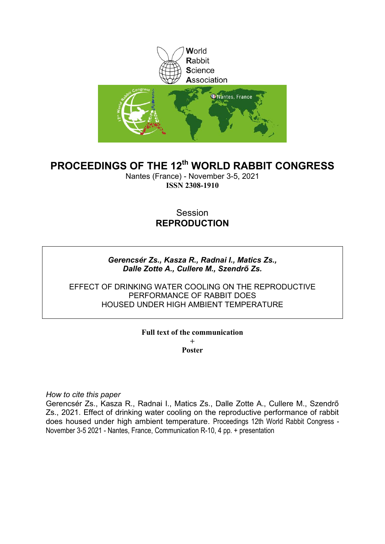

# **PROCEEDINGS OF THE 12th WORLD RABBIT CONGRESS**

Nantes (France) - November 3-5, 2021 **ISSN 2308-1910**

# Session **REPRODUCTION**

## *Gerencsér Zs., Kasza R., Radnai I., Matics Zs., Dalle Zotte A., Cullere M., Szendrő Zs.*

### EFFECT OF DRINKING WATER COOLING ON THE REPRODUCTIVE PERFORMANCE OF RABBIT DOES HOUSED UNDER HIGH AMBIENT TEMPERATURE

#### **Full text of the communication + Poster**

*How to cite this paper*

Gerencsér Zs., Kasza R., Radnai I., Matics Zs., Dalle Zotte A., Cullere M., Szendrő Zs., 2021. Effect of drinking water cooling on the reproductive performance of rabbit does housed under high ambient temperature. Proceedings 12th World Rabbit Congress - November 3-5 2021 - Nantes, France, Communication R-10, 4 pp. + presentation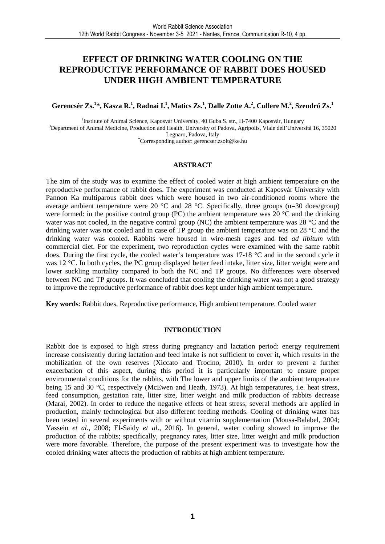# **EFFECT OF DRINKING WATER COOLING ON THE REPRODUCTIVE PERFORMANCE OF RABBIT DOES HOUSED UNDER HIGH AMBIENT TEMPERATURE**

**Gerencsér Zs.<sup>1</sup> \*, Kasza R.<sup>1</sup> , Radnai I.<sup>1</sup> , Matics Zs.<sup>1</sup> , Dalle Zotte A.<sup>2</sup> , Cullere M.<sup>2</sup> , Szendrő Zs.<sup>1</sup>**

<sup>1</sup>Institute of Animal Science, Kaposvár University, 40 Guba S. str., H-7400 Kaposvár, Hungary <sup>3</sup>Department of Animal Medicine, Production and Health, University of Padova, Agripolis, Viale dell'Università 16, 35020 Legnaro, Padova, Italy \*Corresponding author: gerencser.zsolt@ke.hu

#### **ABSTRACT**

The aim of the study was to examine the effect of cooled water at high ambient temperature on the reproductive performance of rabbit does. The experiment was conducted at Kaposvár University with Pannon Ka multiparous rabbit does which were housed in two air-conditioned rooms where the average ambient temperature were 20  $^{\circ}$ C and 28  $^{\circ}$ C. Specifically, three groups (n=30 does/group) were formed: in the positive control group (PC) the ambient temperature was 20  $^{\circ}$ C and the drinking water was not cooled, in the negative control group (NC) the ambient temperature was 28 °C and the drinking water was not cooled and in case of TP group the ambient temperature was on 28 °C and the drinking water was cooled. Rabbits were housed in wire-mesh cages and fed *ad libitum* with commercial diet. For the experiment, two reproduction cycles were examined with the same rabbit does. During the first cycle, the cooled water's temperature was 17-18 °C and in the second cycle it was 12 °C. In both cycles, the PC group displayed better feed intake, litter size, litter weight were and lower suckling mortality compared to both the NC and TP groups. No differences were observed between NC and TP groups. It was concluded that cooling the drinking water was not a good strategy to improve the reproductive performance of rabbit does kept under high ambient temperature.

**Key words**: Rabbit does, Reproductive performance, High ambient temperature, Cooled water

#### **INTRODUCTION**

Rabbit doe is exposed to high stress during pregnancy and lactation period: energy requirement increase consistently during lactation and feed intake is not sufficient to cover it, which results in the mobilization of the own reserves (Xiccato and Trocino, 2010). In order to prevent a further exacerbation of this aspect, during this period it is particularly important to ensure proper environmental conditions for the rabbits, with The lower and upper limits of the ambient temperature being 15 and 30 °C, respectively (McEwen and Heath, 1973). At high temperatures, i.e. heat stress, feed consumption, gestation rate, litter size, litter weight and milk production of rabbits decrease (Marai, 2002). In order to reduce the negative effects of heat stress, several methods are applied in production, mainly technological but also different feeding methods. Cooling of drinking water has been tested in several experiments with or without vitamin supplementation (Mousa-Balabel, 2004; Yassein *et al.*, 2008; El-Saidy *et al*., 2016). In general, water cooling showed to improve the production of the rabbits; specifically, pregnancy rates, litter size, litter weight and milk production were more favorable. Therefore, the purpose of the present experiment was to investigate how the cooled drinking water affects the production of rabbits at high ambient temperature.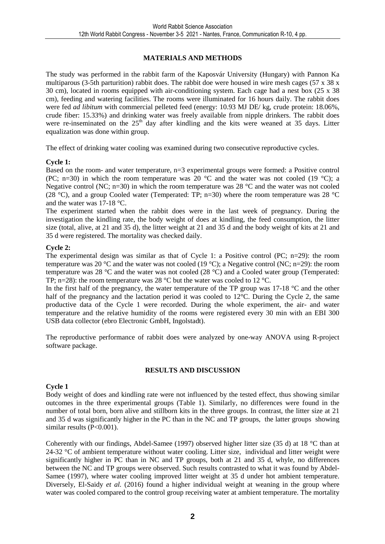### **MATERIALS AND METHODS**

The study was performed in the rabbit farm of the Kaposvár University (Hungary) with Pannon Ka multiparous (3-5th parturition) rabbit does. The rabbit doe were housed in wire mesh cages (57 x 38 x 30 cm), located in rooms equipped with air-conditioning system. Each cage had a nest box (25 x 38 cm), feeding and watering facilities. The rooms were illuminated for 16 hours daily. The rabbit does were fed *ad libitum* with commercial pelleted feed (energy: 10.93 MJ DE/ kg, crude protein: 18.06%, crude fiber: 15.33%) and drinking water was freely available from nipple drinkers. The rabbit does were re-inseminated on the  $25<sup>th</sup>$  day after kindling and the kits were weaned at 35 days. Litter equalization was done within group.

The effect of drinking water cooling was examined during two consecutive reproductive cycles.

#### **Cycle 1:**

Based on the room- and water temperature, n=3 experimental groups were formed: a Positive control (PC; n=30) in which the room temperature was 20  $^{\circ}$ C and the water was not cooled (19  $^{\circ}$ C); a Negative control (NC;  $n=30$ ) in which the room temperature was 28 °C and the water was not cooled (28 °C), and a group Cooled water (Temperated: TP;  $n=30$ ) where the room temperature was 28 °C and the water was 17-18 °C.

The experiment started when the rabbit does were in the last week of pregnancy. During the investigation the kindling rate, the body weight of does at kindling, the feed consumption, the litter size (total, alive, at 21 and 35 d), the litter weight at 21 and 35 d and the body weight of kits at 21 and 35 d were registered. The mortality was checked daily.

#### **Cycle 2:**

The experimental design was similar as that of Cycle 1: a Positive control (PC; n=29): the room temperature was 20 °C and the water was not cooled (19 °C); a Negative control (NC; n=29): the room temperature was 28 °C and the water was not cooled (28 °C) and a Cooled water group (Temperated: TP; n=28): the room temperature was 28 °C but the water was cooled to 12 °C.

In the first half of the pregnancy, the water temperature of the TP group was 17-18 °C and the other half of the pregnancy and the lactation period it was cooled to 12<sup>o</sup>C. During the Cycle 2, the same productive data of the Cycle 1 were recorded. During the whole experiment, the air- and water temperature and the relative humidity of the rooms were registered every 30 min with an EBI 300 USB data collector (ebro Electronic GmbH, Ingolstadt).

The reproductive performance of rabbit does were analyzed by one-way ANOVA using R-project software package.

#### **RESULTS AND DISCUSSION**

#### **Cycle 1**

Body weight of does and kindling rate were not influenced by the tested effect, thus showing similar outcomes in the three experimental groups (Table 1). Similarly, no differences were found in the number of total born, born alive and stillborn kits in the three groups. In contrast, the litter size at 21 and 35 d was significantly higher in the PC than in the NC and TP groups, the latter groups showing similar results (P<0.001).

Coherently with our findings, Abdel-Samee (1997) observed higher litter size (35 d) at 18 °C than at 24-32 °C of ambient temperature without water cooling. Litter size, individual and litter weight were significantly higher in PC than in NC and TP groups, both at 21 and 35 d, whyle, no differences between the NC and TP groups were observed. Such results contrasted to what it was found by Abdel-Samee (1997), where water cooling improved litter weight at 35 d under hot ambient temperature. Diversely, El-Saidy *et al.* (2016) found a higher individual weight at weaning in the group where water was cooled compared to the control group receiving water at ambient temperature. The mortality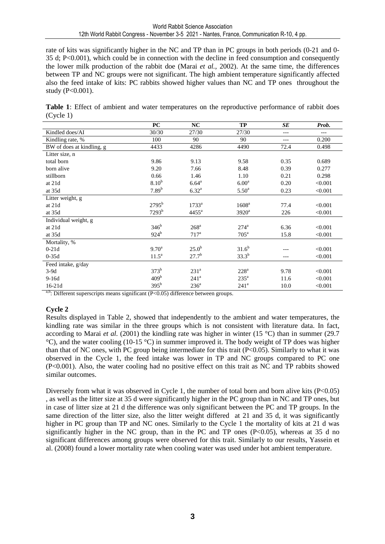rate of kits was significantly higher in the NC and TP than in PC groups in both periods (0-21 and 0- 35 d; P<0.001), which could be in connection with the decline in feed consumption and consequently the lower milk production of the rabbit doe (Marai *et al.*, 2002). At the same time, the differences between TP and NC groups were not significant. The high ambient temperature significantly affected also the feed intake of kits: PC rabbits showed higher values than NC and TP ones throughout the study (P<0.001).

**Table 1**: Effect of ambient and water temperatures on the reproductive performance of rabbit does (Cycle 1)

|                           | PC                | NC                | <b>TP</b>          | SE    | Prob.   |
|---------------------------|-------------------|-------------------|--------------------|-------|---------|
| Kindled does/AI           | 30/30             | 27/30             | 27/30              | ---   | $---$   |
| Kindling rate, %          | 100               | 90                | 90                 | $---$ | 0.200   |
| BW of does at kindling, g | 4433              | 4286              | 4490               | 72.4  | 0.498   |
| Litter size, n            |                   |                   |                    |       |         |
| total born                | 9.86              | 9.13              | 9.58               | 0.35  | 0.689   |
| born alive                | 9.20              | 7.66              | 8.48               | 0.39  | 0.277   |
| stillborn                 | 0.66              | 1.46              | 1.10               | 0.21  | 0.298   |
| at 21d                    | 8.10 <sup>b</sup> | $6.64^{\rm a}$    | 6.00 <sup>a</sup>  | 0.20  | < 0.001 |
| at 35d                    | 7.89 <sup>b</sup> | $6.32^{a}$        | $5.50^{\rm a}$     | 0.23  | < 0.001 |
| Litter weight, g          |                   |                   |                    |       |         |
| at 21d                    | $2795^{\rm b}$    | 1733 <sup>a</sup> | 1608 <sup>a</sup>  | 77.4  | < 0.001 |
| at 35d                    | $7293^b$          | $4455^{\rm a}$    | $3920^{\rm a}$     | 226   | < 0.001 |
| Individual weight, g      |                   |                   |                    |       |         |
| at 21d                    | 346 <sup>b</sup>  | 268 <sup>a</sup>  | $274^{\mathrm{a}}$ | 6.36  | < 0.001 |
| at 35d                    | $924^b$           | $717^a$           | $705^{\mathrm{a}}$ | 15.8  | < 0.001 |
| Mortality, %              |                   |                   |                    |       |         |
| $0-21d$                   | 9.70 <sup>a</sup> | 25.0 <sup>b</sup> | $31.6^{b}$         | ---   | < 0.001 |
| $0-35d$                   | $11.5^{\circ}$    | $27.7^{b}$        | $33.3^{b}$         | ---   | < 0.001 |
| Feed intake, g/day        |                   |                   |                    |       |         |
| $3-9d$                    | $373^b$           | 231 <sup>a</sup>  | $228^a$            | 9.78  | < 0.001 |
| $9-16d$                   | 409 <sup>b</sup>  | 241 <sup>a</sup>  | $235^{\mathrm{a}}$ | 11.6  | < 0.001 |
| $16-21d$                  | $395^{\rm b}$     | $236^{\circ}$     | 241 <sup>a</sup>   | 10.0  | < 0.001 |

 $a,b$ : Different superscripts means significant (P<0.05) difference between groups.

#### **Cycle 2**

Results displayed in Table 2, showed that independently to the ambient and water temperatures, the kindling rate was similar in the three groups which is not consistent with literature data. In fact, according to Marai *et al.* (2001) the kindling rate was higher in winter (15 °C) than in summer (29.7 °C), and the water cooling (10-15 °C) in summer improved it. The body weight of TP does was higher than that of NC ones, with PC group being intermediate for this trait (P<0.05). Similarly to what it was observed in the Cycle 1, the feed intake was lower in TP and NC groups compared to PC one (P<0.001). Also, the water cooling had no positive effect on this trait as NC and TP rabbits showed similar outcomes.

Diversely from what it was observed in Cycle 1, the number of total born and born alive kits (P<0.05) , as well as the litter size at 35 d were significantly higher in the PC group than in NC and TP ones, but in case of litter size at 21 d the difference was only significant between the PC and TP groups. In the same direction of the litter size, also the litter weight differed at 21 and 35 d, it was significantly higher in PC group than TP and NC ones. Similarly to the Cycle 1 the mortality of kits at 21 d was significantly higher in the NC group, than in the PC and TP ones  $(P<0.05)$ , whereas at 35 d no significant differences among groups were observed for this trait. Similarly to our results, Yassein et al. (2008) found a lower mortality rate when cooling water was used under hot ambient temperature.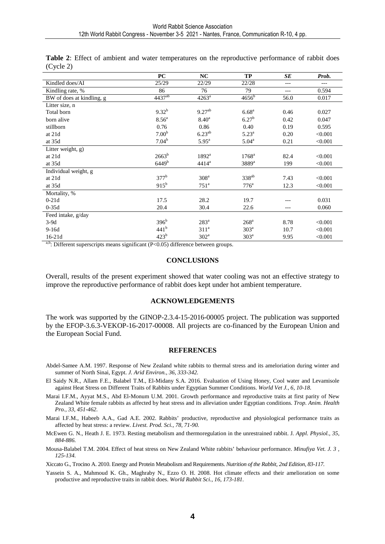|                           | PC                | NC               | TP                 | <b>SE</b> | Prob.   |
|---------------------------|-------------------|------------------|--------------------|-----------|---------|
| Kindled does/AI           | 25/29             | 22/29            | 22/28              | $---$     | ---     |
| Kindling rate, %          | 86                | 76               | 79                 | $---$     | 0.594   |
| BW of does at kindling, g | $4437^{ab}$       | $4263^a$         | $4656^b$           | 56.0      | 0.017   |
| Litter size, n            |                   |                  |                    |           |         |
| Total born                | $9.32^{b}$        | $9.27^{ab}$      | 6.68 <sup>a</sup>  | 0.46      | 0.027   |
| born alive                | 8.56 <sup>a</sup> | $8.40^{\rm a}$   | $6.27^{b}$         | 0.42      | 0.047   |
| stillborn                 | 0.76              | 0.86             | 0.40               | 0.19      | 0.595   |
| at 21d                    | 7.00 <sup>b</sup> | $6.23^{ab}$      | $5.23^{a}$         | 0.20      | < 0.001 |
| at 35d                    | $7.04^{b}$        | $5.95^{\rm a}$   | $5.04^{\rm a}$     | 0.21      | < 0.001 |
| Litter weight, g)         |                   |                  |                    |           |         |
| at 21d                    | $2663^b$          | $1892^a$         | $1768^{\rm a}$     | 82.4      | < 0.001 |
| at 35d                    | 6449 <sup>b</sup> | $4414^a$         | 3889 <sup>a</sup>  | 199       | < 0.001 |
| Individual weight, g      |                   |                  |                    |           |         |
| at 21d                    | $377^b$           | 308 <sup>a</sup> | $338^{ab}$         | 7.43      | < 0.001 |
| at 35d                    | $915^b$           | 751 <sup>a</sup> | $776^{\mathrm{a}}$ | 12.3      | < 0.001 |
| Mortality, %              |                   |                  |                    |           |         |
| $0-21d$                   | 17.5              | 28.2             | 19.7               |           | 0.031   |
| $0-35d$                   | 20.4              | 30.4             | 22.6               | $---$     | 0.060   |
| Feed intake, g/day        |                   |                  |                    |           |         |
| $3-9d$                    | $396^b$           | $283^a$          | $268$ <sup>a</sup> | 8.78      | < 0.001 |
| $9-16d$                   | 441 <sup>b</sup>  | 311 <sup>a</sup> | 303 <sup>a</sup>   | 10.7      | < 0.001 |
| 16-21d                    | 423 <sup>b</sup>  | $302^a$          | 303 <sup>a</sup>   | 9.95      | < 0.001 |

**Table 2**: Effect of ambient and water temperatures on the reproductive performance of rabbit does (Cycle 2)

<sup>a,b</sup>: Different superscripts means significant ( $P < 0.05$ ) difference between groups.

#### **CONCLUSIONS**

Overall, results of the present experiment showed that water cooling was not an effective strategy to improve the reproductive performance of rabbit does kept under hot ambient temperature.

#### **ACKNOWLEDGEMENTS**

The work was supported by the GINOP-2.3.4-15-2016-00005 project. The publication was supported by the EFOP-3.6.3-VEKOP-16-2017-00008. All projects are co-financed by the European Union and the European Social Fund.

#### **REFERENCES**

- Abdel-Samee A.M. 1997. Response of New Zealand white rabbits to thermal stress and its ameloriation during winter and summer of North Sinai, Egypt. *J. Arid Environ.*, *36, 333-342.*
- El Saidy N.R., Allam F.E., Balabel T.M., El-Midany S.A. 2016. Evaluation of Using Honey, Cool water and Levamisole against Heat Stress on Different Traits of Rabbits under Egyptian Summer Conditions. *World Vet J.*, *6, 10-18.*
- Marai I.F.M., Ayyat M.S., Abd El-Monum U.M. 2001. Growth performance and reproductive traits at first parity of New Zealand White female rabbits as affected by heat stress and its alleviation under Egyptian conditions. *Trop. Anim. Health Pro.*, *33, 451-462.*
- Marai I.F.M., Habeeb A.A., Gad A.E. 2002. Rabbits' productive, reproductive and physiological performance traits as affected by heat stress: a review. *Livest. Prod. Sci., 78, 71-90.*
- McEwen G. N., Heath J. E. 1973. Resting metabolism and thermoregulation in the unrestrained rabbit. J*. Appl. Physiol., 35, 884-886.*
- Mousa-Balabel T.M. 2004. Effect of heat stress on New Zealand White rabbits' behaviour performance. *Minufiya Vet. J. 3 , 125-134.*

Xiccato G., Trocino A. 2010. Energy and Protein Metabolism and Requirements. *Nutrition of the Rabbit, 2nd Edition, 83-117.* 

Yassein S. A., Mahmoud K. Gh., Maghraby N., Ezzo O. H. 2008. Hot climate effects and their amelioration on some productive and reproductive traits in rabbit does. *World Rabbit Sci., 16, 173-181.*